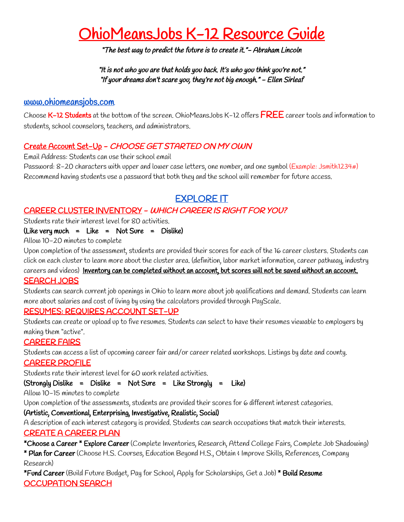# OhioMeansJobs K-12 Resource Guide

"The best way to predict the future is to create it."- Abraham Lincoln

"It is not who you are that holds you back. It's who you think you're not." "If your dreams don't scare you, they're not big enough." - Ellen Sirleaf

#### [www.ohiomeansjobs.com](http://www.ohiomeansjobs.com/)

Choose K-12 Students at the bottom of the screen. OhioMeansJobs K-12 offers FREE career tools and information to students, school counselors, teachers, and administrators.

#### Create Account Set-Up - CHOOSE GET STARTED ON MY OWN

Email Address: Students can use their school email

Password: 8-20 characters with upper and lower case letters, one number, and one symbol (Example: Jsmith1234#) Recommend having students use a password that both they and the school will remember for future access.

## EXPLORE IT

#### CAREER CLUSTER INVENTORY - WHICH CAREER IS RIGHT FOR YOU?

Students rate their interest level for 80 activities.

(Like very much = Like = Not Sure = Dislike)

Allow 10-20 minutes to complete

Upon completion of the assessment, students are provided their scores for each of the 16 career clusters. Students can click on each cluster to learn more about the cluster area. (definition, labor market information, career pathway, industry

## careers and videos) Inventory can be completed without an account, but scores will not be saved without an account.

#### SEARCH JOBS

Students can search current job openings in Ohio to learn more about job qualifications and demand. Students can learn more about salaries and cost of living by using the calculators provided through PayScale.

#### RESUMES: REQUIRES ACCOUNT SET-UP

Students can create or upload up to five resumes. Students can select to have their resumes viewable to employers by making them "active".

#### CAREER FAIRS

Students can access a list of upcoming career fair and/or career related workshops. Listings by date and county.

CAREER PROFILE

Students rate their interest level for 60 work related activities.

(Strongly Dislike = Dislike = Not Sure = Like Strongly = Like)

Allow 10-15 minutes to complete

Upon completion of the assessments, students are provided their scores for 6 different interest categories.

#### (Artistic, Conventional, Enterprising, Investigative, Realistic, Social)

A description of each interest category is provided. Students can search occupations that match their interests. CREATE A CAREER PLAN

\*Choose a Career \* Explore Career (Complete Inventories, Research, Attend College Fairs, Complete Job Shadowing)

\* Plan for Career (Choose H.S. Courses, Education Beyond H.S., Obtain & Improve Skills, References, Company Research)

\*Fund Career (Build Future Budget, Pay for School, Apply for Scholarships, Get a Job) \* Build Resume OCCUPATION SEARCH